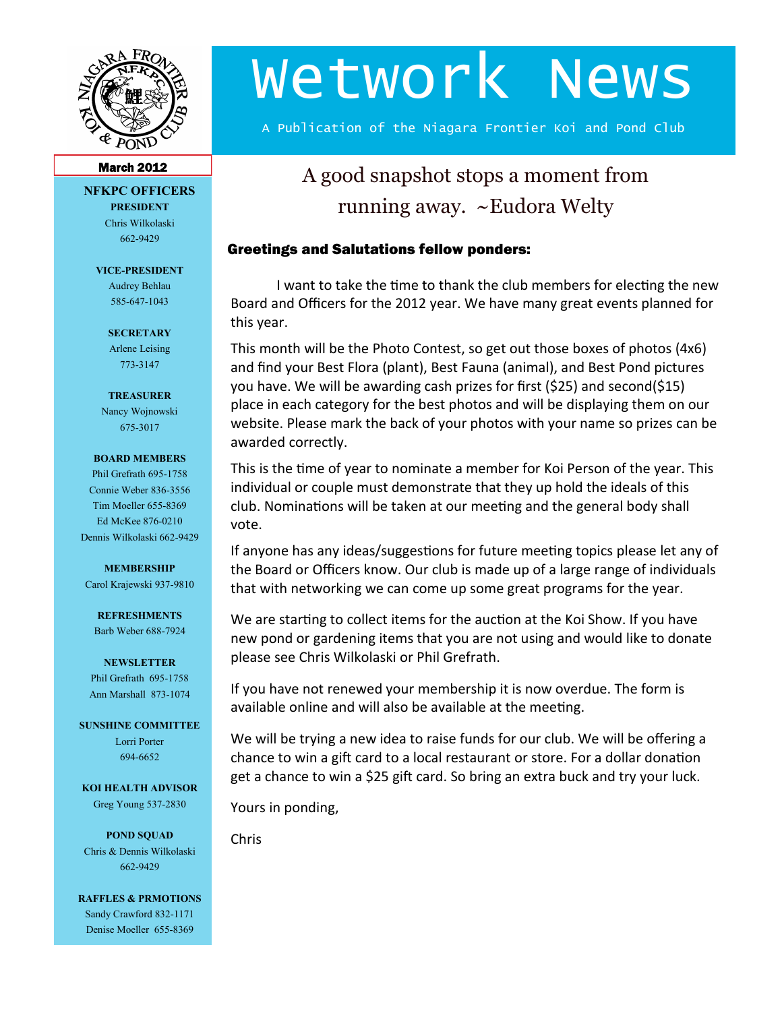

# Wetwork News

A Publication of the Niagara Frontier Koi and Pond Club

#### March 2012

#### **NFKPC OFFICERS PRESIDENT**

Chris Wilkolaski 662-9429

**VICE-PRESIDENT** Audrey Behlau 585-647-1043

> **SECRETARY** Arlene Leising 773-3147

**TREASURER**

Nancy Wojnowski 675-3017

#### **BOARD MEMBERS**

Phil Grefrath 695-1758 Connie Weber 836-3556 Tim Moeller 655-8369 Ed McKee 876-0210 Dennis Wilkolaski 662-9429

**MEMBERSHIP**

Carol Krajewski 937-9810

**REFRESHMENTS** Barb Weber 688-7924

**NEWSLETTER** Phil Grefrath 695-1758 Ann Marshall 873-1074

**SUNSHINE COMMITTEE** Lorri Porter 694-6652

**KOI HEALTH ADVISOR** Greg Young 537-2830

**POND SQUAD** Chris & Dennis Wilkolaski 662-9429

**RAFFLES & PRMOTIONS** Sandy Crawford 832-1171 Denise Moeller 655-8369

# A good snapshot stops a moment from running away. ~Eudora Welty

### Greetings and Salutations fellow ponders:

I want to take the time to thank the club members for electing the new Board and Officers for the 2012 year. We have many great events planned for this year.

This month will be the Photo Contest, so get out those boxes of photos (4x6) and find your Best Flora (plant), Best Fauna (animal), and Best Pond pictures you have. We will be awarding cash prizes for first (\$25) and second(\$15) place in each category for the best photos and will be displaying them on our website. Please mark the back of your photos with your name so prizes can be awarded correctly.

This is the time of year to nominate a member for Koi Person of the year. This individual or couple must demonstrate that they up hold the ideals of this club. Nominations will be taken at our meeting and the general body shall vote.

If anyone has any ideas/suggestions for future meeting topics please let any of the Board or Officers know. Our club is made up of a large range of individuals that with networking we can come up some great programs for the year.

We are starting to collect items for the auction at the Koi Show. If you have new pond or gardening items that you are not using and would like to donate please see Chris Wilkolaski or Phil Grefrath.

If you have not renewed your membership it is now overdue. The form is available online and will also be available at the meeting.

We will be trying a new idea to raise funds for our club. We will be offering a chance to win a gift card to a local restaurant or store. For a dollar donation get a chance to win a \$25 gift card. So bring an extra buck and try your luck.

Yours in ponding,

Chris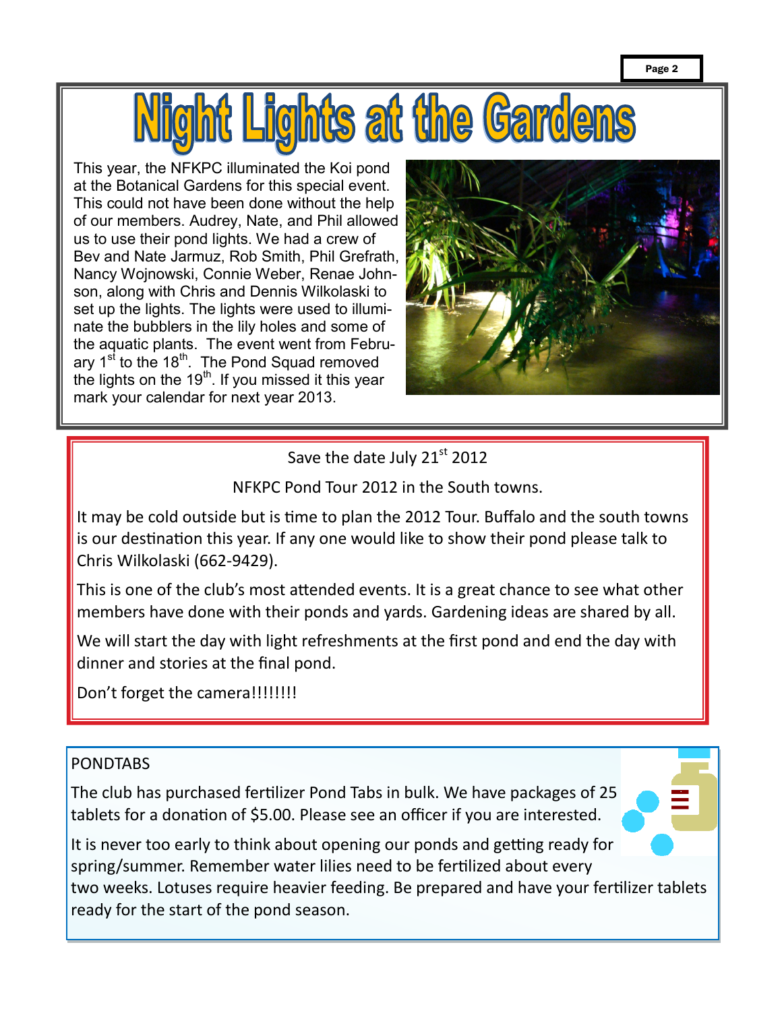

This year, the NFKPC illuminated the Koi pond at the Botanical Gardens for this special event. This could not have been done without the help of our members. Audrey, Nate, and Phil allowed us to use their pond lights. We had a crew of Bev and Nate Jarmuz, Rob Smith, Phil Grefrath, Nancy Wojnowski, Connie Weber, Renae Johnson, along with Chris and Dennis Wilkolaski to set up the lights. The lights were used to illuminate the bubblers in the lily holes and some of the aquatic plants. The event went from February 1<sup>st</sup> to the 18<sup>th</sup>. The Pond Squad removed the lights on the  $19<sup>th</sup>$ . If you missed it this year mark your calendar for next year 2013.



Save the date July 21<sup>st</sup> 2012

NFKPC Pond Tour 2012 in the South towns.

It may be cold outside but is time to plan the 2012 Tour. Buffalo and the south towns is our destination this year. If any one would like to show their pond please talk to Chris Wilkolaski (662-9429).

This is one of the club's most attended events. It is a great chance to see what other members have done with their ponds and yards. Gardening ideas are shared by all.

We will start the day with light refreshments at the first pond and end the day with dinner and stories at the final pond.

Don't forget the camera!!!!!!!!!

## PONDTABS

The club has purchased fertilizer Pond Tabs in bulk. We have packages of 25 tablets for a donation of \$5.00. Please see an officer if you are interested.



It is never too early to think about opening our ponds and getting ready for spring/summer. Remember water lilies need to be fertilized about every two weeks. Lotuses require heavier feeding. Be prepared and have your fertilizer tablets ready for the start of the pond season.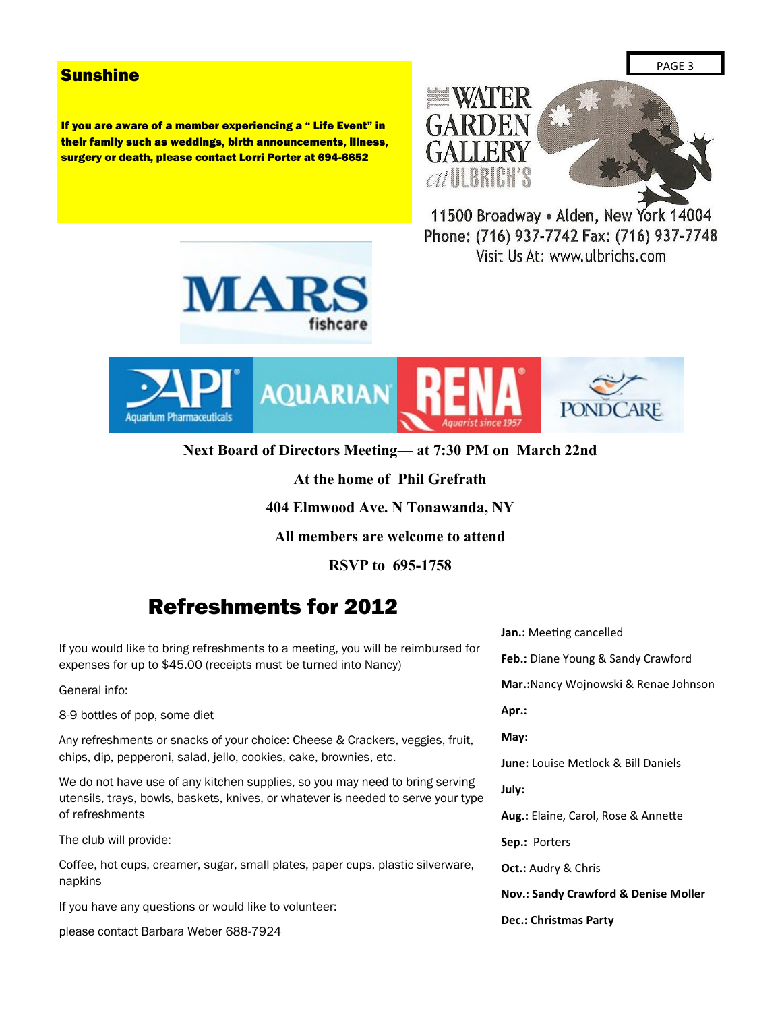#### **Sunshine**

If you are aware of a member experiencing a " Life Event" in their family such as weddings, birth announcements, illness, surgery or death, please contact Lorri Porter at 694-6652



11500 Broadway . Alden, New York 14004 Phone: (716) 937-7742 Fax: (716) 937-7748 Visit Us At: www.ulbrichs.com





**Next Board of Directors Meeting— at 7:30 PM on March 22nd**

**At the home of Phil Grefrath**

**404 Elmwood Ave. N Tonawanda, NY**

**All members are welcome to attend**

**RSVP to 695-1758**

## Refreshments for 2012

If you would like to bring refreshments to a meeting, you will be reimbursed for expenses for up to \$45.00 (receipts must be turned into Nancy)

General info:

8-9 bottles of pop, some diet

Any refreshments or snacks of your choice: Cheese & Crackers, veggies, fruit, chips, dip, pepperoni, salad, jello, cookies, cake, brownies, etc.

We do not have use of any kitchen supplies, so you may need to bring serving utensils, trays, bowls, baskets, knives, or whatever is needed to serve your type of refreshments

The club will provide:

Coffee, hot cups, creamer, sugar, small plates, paper cups, plastic silverware, napkins

If you have any questions or would like to volunteer:

please contact Barbara Weber 688-7924

**Jan.:** Meeting cancelled **Feb.:** Diane Young & Sandy Crawford **Mar.:**Nancy Wojnowski & Renae Johnson **Apr.: May: June:** Louise Metlock & Bill Daniels **July: Aug.:** Elaine, Carol, Rose & Annette **Sep.:** Porters **Oct.:** Audry & Chris **Nov.: Sandy Crawford & Denise Moller Dec.: Christmas Party**

PAGE 3